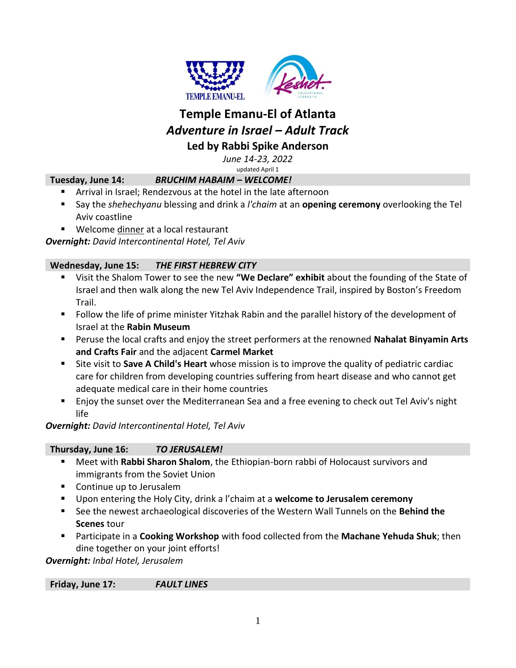

# **Temple Emanu-El of Atlanta** *Adventure in Israel – Adult Track* **Led by Rabbi Spike Anderson**

*June 14-23, 2022*

updated April 1

# **Tuesday, June 14:** *BRUCHIM HABAIM – WELCOME!*

- Arrival in Israel; Rendezvous at the hotel in the late afternoon
- Say the *shehechyanu* blessing and drink a *l'chaim* at an **opening ceremony** overlooking the Tel Aviv coastline
- Welcome dinner at a local restaurant

*Overnight: David Intercontinental Hotel, Tel Aviv*

#### **Wednesday, June 15:** *THE FIRST HEBREW CITY*

- Visit the Shalom Tower to see the new **"We Declare" exhibit** about the founding of the State of Israel and then walk along the new Tel Aviv Independence Trail, inspired by Boston's Freedom Trail.
- **Follow the life of prime minister Yitzhak Rabin and the parallel history of the development of** Israel at the **Rabin Museum**
- Peruse the local crafts and enjoy the street performers at the renowned **Nahalat Binyamin Arts and Crafts Fair** and the adjacent **Carmel Market**
- Site visit to **Save A Child's Heart** whose mission is to improve the quality of pediatric cardiac care for children from developing countries suffering from heart disease and who cannot get adequate medical care in their home countries
- Enjoy the sunset over the Mediterranean Sea and a free evening to check out Tel Aviv's night life

*Overnight: David Intercontinental Hotel, Tel Aviv*

#### **Thursday, June 16:** *TO JERUSALEM!*

- Meet with **Rabbi Sharon Shalom**, the Ethiopian-born rabbi of Holocaust survivors and immigrants from the Soviet Union
- Continue up to Jerusalem
- Upon entering the Holy City, drink a l'chaim at a **welcome to Jerusalem ceremony**
- See the newest archaeological discoveries of the Western Wall Tunnels on the **Behind the Scenes** tour
- Participate in a **Cooking Workshop** with food collected from the **Machane Yehuda Shuk**; then dine together on your joint efforts!

*Overnight: Inbal Hotel, Jerusalem*

**Friday, June 17:** *FAULT LINES*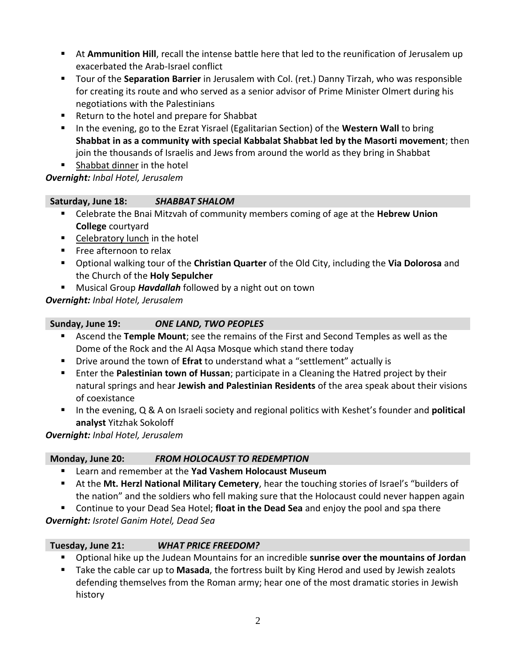- At **Ammunition Hill**, recall the intense battle here that led to the reunification of Jerusalem up exacerbated the Arab-Israel conflict
- Tour of the **Separation Barrier** in Jerusalem with Col. (ret.) Danny Tirzah, who was responsible for creating its route and who served as a senior advisor of Prime Minister Olmert during his negotiations with the Palestinians
- Return to the hotel and prepare for Shabbat
- **IF In the evening, go to the Ezrat Yisrael (Egalitarian Section) of the Western Wall to bring Shabbat in as a community with special Kabbalat Shabbat led by the Masorti movement**; then join the thousands of Israelis and Jews from around the world as they bring in Shabbat
- **Shabbat dinner in the hotel**

*Overnight: Inbal Hotel, Jerusalem*

## **Saturday, June 18:** *SHABBAT SHALOM*

- Celebrate the Bnai Mitzvah of community members coming of age at the **Hebrew Union College** courtyard
- Celebratory lunch in the hotel
- **Free afternoon to relax**
- Optional walking tour of the **Christian Quarter** of the Old City, including the **Via Dolorosa** and the Church of the **Holy Sepulcher**
- Musical Group *Havdallah* followed by a night out on town

*Overnight: Inbal Hotel, Jerusalem*

| Sunday, June 19: | <b>ONE LAND, TWO PEOPLES</b> |
|------------------|------------------------------|
|                  |                              |

- Ascend the **Temple Mount**; see the remains of the First and Second Temples as well as the Dome of the Rock and the Al Aqsa Mosque which stand there today
- Drive around the town of **Efrat** to understand what a "settlement" actually is
- Enter the **Palestinian town of Hussan**; participate in a Cleaning the Hatred project by their natural springs and hear **Jewish and Palestinian Residents** of the area speak about their visions of coexistance
- In the evening, Q & A on Israeli society and regional politics with Keshet's founder and **political analyst** Yitzhak Sokoloff

*Overnight: Inbal Hotel, Jerusalem*

# **Monday, June 20:** *FROM HOLOCAUST TO REDEMPTION*

- Learn and remember at the **Yad Vashem Holocaust Museum**
- At the **Mt. Herzl National Military Cemetery**, hear the touching stories of Israel's "builders of the nation" and the soldiers who fell making sure that the Holocaust could never happen again

 Continue to your Dead Sea Hotel; **float in the Dead Sea** and enjoy the pool and spa there *Overnight: Isrotel Ganim Hotel, Dead Sea*

#### **Tuesday, June 21:** *WHAT PRICE FREEDOM?*

- Optional hike up the Judean Mountains for an incredible **sunrise over the mountains of Jordan**
- Take the cable car up to **Masada**, the fortress built by King Herod and used by Jewish zealots defending themselves from the Roman army; hear one of the most dramatic stories in Jewish history